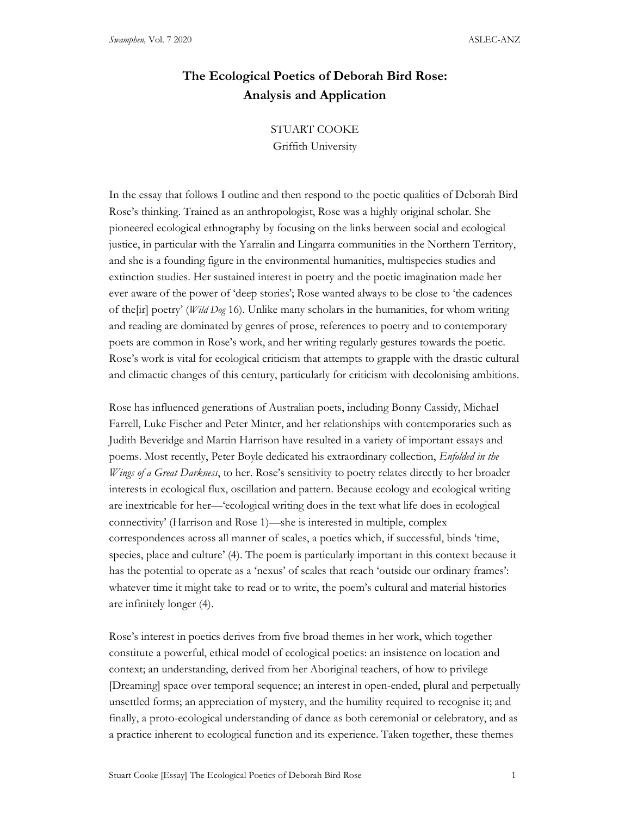# The Ecological Poetics of Deborah Bird Rose: Analysis and Application

## STUART COOKE

Griffith University

In the essay that follows I outline and then respond to the poetic qualities of Deborah Bird Rose's thinking. Trained as an anthropologist, Rose was a highly original scholar. She pioneered ecological ethnography by focusing on the links between social and ecological justice, in particular with the Yarralin and Lingarra communities in the Northern Territory, and she is a founding figure in the environmental humanities, multispecies studies and extinction studies. Her sustained interest in poetry and the poetic imagination made her ever aware of the power of 'deep stories'; Rose wanted always to be close to 'the cadences of the [ir] poetry' (Wild Dog 16). Unlike many scholars in the humanities, for whom writing and reading are dominated by genres of prose, references to poetry and to contemporary poets are common in Rose's work, and her writing regularly gestures towards the poetic. Rose's work is vital for ecological criticism that attempts to grapple with the drastic cultural and climactic changes of this century, particularly for criticism with decolonising ambitions.

Rose has influenced generations of Australian poets, including Bonny Cassidy, Michael Farrell, Luke Fischer and Peter Minter, and her relationships with contemporaries such as Judith Beveridge and Martin Harrison have resulted in a variety of important essays and poems. Most recently, Peter Boyle dedicated his extraordinary collection, Enfolded in the *Wings of a Great Darkness*, to her. Rose's sensitivity to poetry relates directly to her broader interests in ecological flux, oscillation and pattern. Because ecology and ecological writing are inextricable for her—'ecological writing does in the text what life does in ecological connectivity' (Harrison and Rose 1)—she is interested in multiple, complex correspondences across all manner of scales, a poetics which, if successful, binds 'time, species, place and culture' (4). The poem is particularly important in this context because it has the potential to operate as a 'nexus' of scales that reach 'outside our ordinary frames': whatever time it might take to read or to write, the poem's cultural and material histories are infinitely longer (4).

Rose's interest in poetics derives from five broad themes in her work, which together constitute a powerful, ethical model of ecological poetics: an insistence on location and context; an understanding, derived from her Aboriginal teachers, of how to privilege [Dreaming] space over temporal sequence; an interest in open-ended, plural and perpetually unsettled forms; an appreciation of mystery, and the humility required to recognise it; and finally, a proto-ecological understanding of dance as both ceremonial or celebratory, and as a practice inherent to ecological function and its experience. Taken together, these themes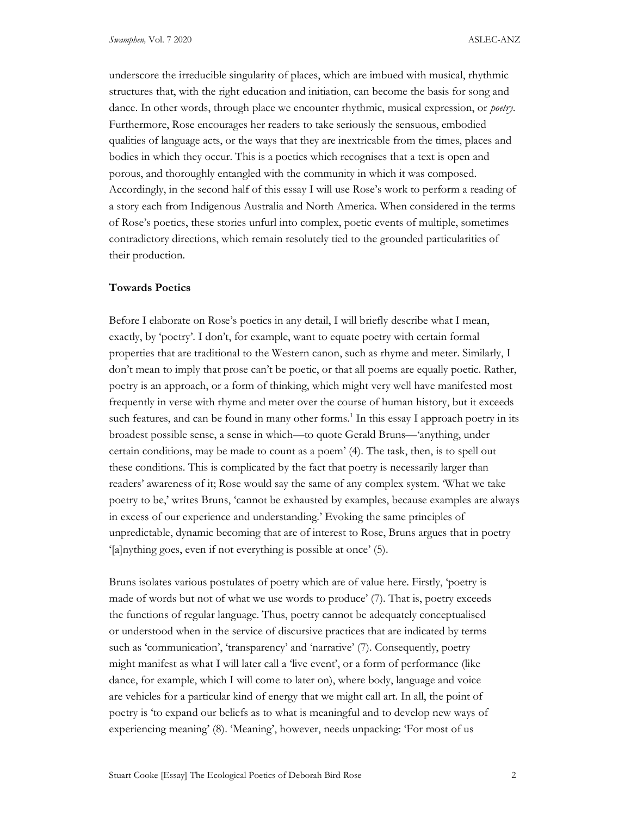underscore the irreducible singularity of places, which are imbued with musical, rhythmic structures that, with the right education and initiation, can become the basis for song and dance. In other words, through place we encounter rhythmic, musical expression, or *poetry*. Furthermore, Rose encourages her readers to take seriously the sensuous, embodied qualities of language acts, or the ways that they are inextricable from the times, places and bodies in which they occur. This is a poetics which recognises that a text is open and porous, and thoroughly entangled with the community in which it was composed. Accordingly, in the second half of this essay I will use Rose's work to perform a reading of a story each from Indigenous Australia and North America. When considered in the terms of Rose's poetics, these stories unfurl into complex, poetic events of multiple, sometimes contradictory directions, which remain resolutely tied to the grounded particularities of their production.

### Towards Poetics

Before I elaborate on Rose's poetics in any detail, I will briefly describe what I mean, exactly, by 'poetry'. I don't, for example, want to equate poetry with certain formal properties that are traditional to the Western canon, such as rhyme and meter. Similarly, I don't mean to imply that prose can't be poetic, or that all poems are equally poetic. Rather, poetry is an approach, or a form of thinking, which might very well have manifested most frequently in verse with rhyme and meter over the course of human history, but it exceeds such features, and can be found in many other forms.<sup>1</sup> In this essay I approach poetry in its broadest possible sense, a sense in which—to quote Gerald Bruns—'anything, under certain conditions, may be made to count as a poem' (4). The task, then, is to spell out these conditions. This is complicated by the fact that poetry is necessarily larger than readers' awareness of it; Rose would say the same of any complex system. 'What we take poetry to be,' writes Bruns, 'cannot be exhausted by examples, because examples are always in excess of our experience and understanding.' Evoking the same principles of unpredictable, dynamic becoming that are of interest to Rose, Bruns argues that in poetry '[a]nything goes, even if not everything is possible at once' (5).

Bruns isolates various postulates of poetry which are of value here. Firstly, 'poetry is made of words but not of what we use words to produce' (7). That is, poetry exceeds the functions of regular language. Thus, poetry cannot be adequately conceptualised or understood when in the service of discursive practices that are indicated by terms such as 'communication', 'transparency' and 'narrative' (7). Consequently, poetry might manifest as what I will later call a 'live event', or a form of performance (like dance, for example, which I will come to later on), where body, language and voice are vehicles for a particular kind of energy that we might call art. In all, the point of poetry is 'to expand our beliefs as to what is meaningful and to develop new ways of experiencing meaning' (8). 'Meaning', however, needs unpacking: 'For most of us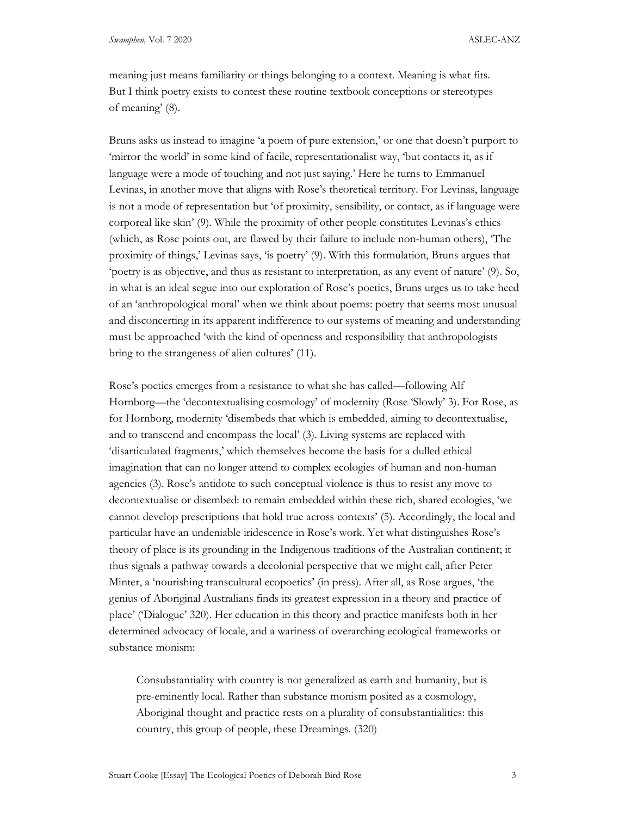meaning just means familiarity or things belonging to a context. Meaning is what fits. But I think poetry exists to contest these routine textbook conceptions or stereotypes of meaning' (8).

Bruns asks us instead to imagine 'a poem of pure extension,' or one that doesn't purport to 'mirror the world' in some kind of facile, representationalist way, 'but contacts it, as if language were a mode of touching and not just saying.' Here he turns to Emmanuel Levinas, in another move that aligns with Rose's theoretical territory. For Levinas, language is not a mode of representation but 'of proximity, sensibility, or contact, as if language were corporeal like skin' (9). While the proximity of other people constitutes Levinas's ethics (which, as Rose points out, are flawed by their failure to include non-human others), 'The proximity of things,' Levinas says, 'is poetry' (9). With this formulation, Bruns argues that 'poetry is as objective, and thus as resistant to interpretation, as any event of nature' (9). So, in what is an ideal segue into our exploration of Rose's poetics, Bruns urges us to take heed of an 'anthropological moral' when we think about poems: poetry that seems most unusual and disconcerting in its apparent indifference to our systems of meaning and understanding must be approached 'with the kind of openness and responsibility that anthropologists bring to the strangeness of alien cultures' (11).

Rose's poetics emerges from a resistance to what she has called—following Alf Hornborg—the 'decontextualising cosmology' of modernity (Rose 'Slowly' 3). For Rose, as for Hornborg, modernity 'disembeds that which is embedded, aiming to decontextualise, and to transcend and encompass the local' (3). Living systems are replaced with 'disarticulated fragments,' which themselves become the basis for a dulled ethical imagination that can no longer attend to complex ecologies of human and non-human agencies (3). Rose's antidote to such conceptual violence is thus to resist any move to decontextualise or disembed: to remain embedded within these rich, shared ecologies, 'we cannot develop prescriptions that hold true across contexts' (5). Accordingly, the local and particular have an undeniable iridescence in Rose's work. Yet what distinguishes Rose's theory of place is its grounding in the Indigenous traditions of the Australian continent; it thus signals a pathway towards a decolonial perspective that we might call, after Peter Minter, a 'nourishing transcultural ecopoetics' (in press). After all, as Rose argues, 'the genius of Aboriginal Australians finds its greatest expression in a theory and practice of place' ('Dialogue' 320). Her education in this theory and practice manifests both in her determined advocacy of locale, and a wariness of overarching ecological frameworks or substance monism:

Consubstantiality with country is not generalized as earth and humanity, but is pre-eminently local. Rather than substance monism posited as a cosmology, Aboriginal thought and practice rests on a plurality of consubstantialities: this country, this group of people, these Dreamings. (320)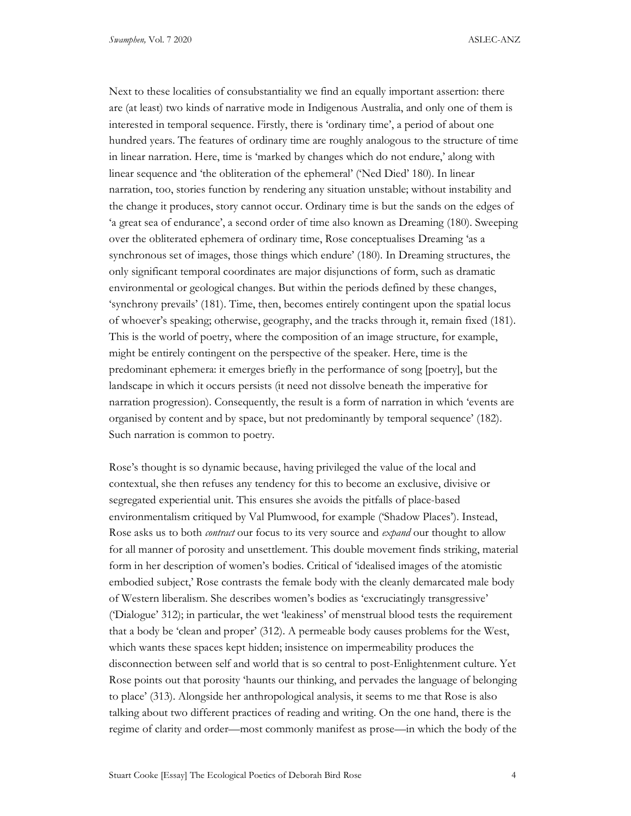Next to these localities of consubstantiality we find an equally important assertion: there are (at least) two kinds of narrative mode in Indigenous Australia, and only one of them is interested in temporal sequence. Firstly, there is 'ordinary time', a period of about one hundred years. The features of ordinary time are roughly analogous to the structure of time in linear narration. Here, time is 'marked by changes which do not endure,' along with linear sequence and 'the obliteration of the ephemeral' ('Ned Died' 180). In linear narration, too, stories function by rendering any situation unstable; without instability and the change it produces, story cannot occur. Ordinary time is but the sands on the edges of 'a great sea of endurance', a second order of time also known as Dreaming (180). Sweeping over the obliterated ephemera of ordinary time, Rose conceptualises Dreaming 'as a synchronous set of images, those things which endure' (180). In Dreaming structures, the only significant temporal coordinates are major disjunctions of form, such as dramatic environmental or geological changes. But within the periods defined by these changes, 'synchrony prevails' (181). Time, then, becomes entirely contingent upon the spatial locus of whoever's speaking; otherwise, geography, and the tracks through it, remain fixed (181). This is the world of poetry, where the composition of an image structure, for example, might be entirely contingent on the perspective of the speaker. Here, time is the predominant ephemera: it emerges briefly in the performance of song [poetry], but the landscape in which it occurs persists (it need not dissolve beneath the imperative for narration progression). Consequently, the result is a form of narration in which 'events are organised by content and by space, but not predominantly by temporal sequence' (182). Such narration is common to poetry.

Rose's thought is so dynamic because, having privileged the value of the local and contextual, she then refuses any tendency for this to become an exclusive, divisive or segregated experiential unit. This ensures she avoids the pitfalls of place-based environmentalism critiqued by Val Plumwood, for example ('Shadow Places'). Instead, Rose asks us to both *contract* our focus to its very source and *expand* our thought to allow for all manner of porosity and unsettlement. This double movement finds striking, material form in her description of women's bodies. Critical of 'idealised images of the atomistic embodied subject,' Rose contrasts the female body with the cleanly demarcated male body of Western liberalism. She describes women's bodies as 'excruciatingly transgressive' ('Dialogue' 312); in particular, the wet 'leakiness' of menstrual blood tests the requirement that a body be 'clean and proper' (312). A permeable body causes problems for the West, which wants these spaces kept hidden; insistence on impermeability produces the disconnection between self and world that is so central to post-Enlightenment culture. Yet Rose points out that porosity 'haunts our thinking, and pervades the language of belonging to place' (313). Alongside her anthropological analysis, it seems to me that Rose is also talking about two different practices of reading and writing. On the one hand, there is the regime of clarity and order—most commonly manifest as prose—in which the body of the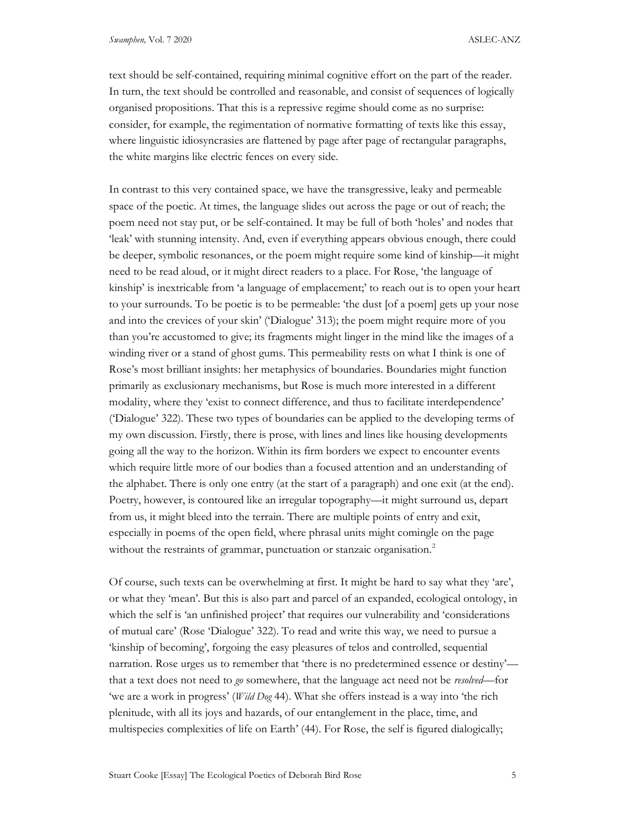text should be self-contained, requiring minimal cognitive effort on the part of the reader. In turn, the text should be controlled and reasonable, and consist of sequences of logically organised propositions. That this is a repressive regime should come as no surprise: consider, for example, the regimentation of normative formatting of texts like this essay, where linguistic idiosyncrasies are flattened by page after page of rectangular paragraphs, the white margins like electric fences on every side.

In contrast to this very contained space, we have the transgressive, leaky and permeable space of the poetic. At times, the language slides out across the page or out of reach; the poem need not stay put, or be self-contained. It may be full of both 'holes' and nodes that 'leak' with stunning intensity. And, even if everything appears obvious enough, there could be deeper, symbolic resonances, or the poem might require some kind of kinship—it might need to be read aloud, or it might direct readers to a place. For Rose, 'the language of kinship' is inextricable from 'a language of emplacement;' to reach out is to open your heart to your surrounds. To be poetic is to be permeable: 'the dust [of a poem] gets up your nose and into the crevices of your skin' ('Dialogue' 313); the poem might require more of you than you're accustomed to give; its fragments might linger in the mind like the images of a winding river or a stand of ghost gums. This permeability rests on what I think is one of Rose's most brilliant insights: her metaphysics of boundaries. Boundaries might function primarily as exclusionary mechanisms, but Rose is much more interested in a different modality, where they 'exist to connect difference, and thus to facilitate interdependence' ('Dialogue' 322). These two types of boundaries can be applied to the developing terms of my own discussion. Firstly, there is prose, with lines and lines like housing developments going all the way to the horizon. Within its firm borders we expect to encounter events which require little more of our bodies than a focused attention and an understanding of the alphabet. There is only one entry (at the start of a paragraph) and one exit (at the end). Poetry, however, is contoured like an irregular topography—it might surround us, depart from us, it might bleed into the terrain. There are multiple points of entry and exit, especially in poems of the open field, where phrasal units might comingle on the page without the restraints of grammar, punctuation or stanzaic organisation.<sup>2</sup>

Of course, such texts can be overwhelming at first. It might be hard to say what they 'are', or what they 'mean'. But this is also part and parcel of an expanded, ecological ontology, in which the self is 'an unfinished project' that requires our vulnerability and 'considerations of mutual care' (Rose 'Dialogue' 322). To read and write this way, we need to pursue a 'kinship of becoming', forgoing the easy pleasures of telos and controlled, sequential narration. Rose urges us to remember that 'there is no predetermined essence or destiny' that a text does not need to go somewhere, that the language act need not be resolved—for 'we are a work in progress' (Wild Dog 44). What she offers instead is a way into 'the rich plenitude, with all its joys and hazards, of our entanglement in the place, time, and multispecies complexities of life on Earth' (44). For Rose, the self is figured dialogically;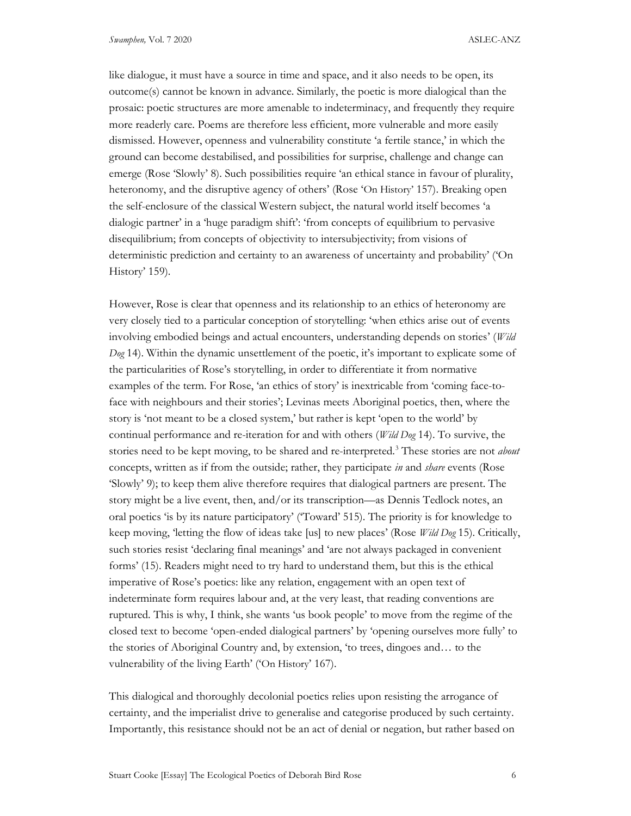like dialogue, it must have a source in time and space, and it also needs to be open, its outcome(s) cannot be known in advance. Similarly, the poetic is more dialogical than the prosaic: poetic structures are more amenable to indeterminacy, and frequently they require more readerly care. Poems are therefore less efficient, more vulnerable and more easily dismissed. However, openness and vulnerability constitute 'a fertile stance,' in which the ground can become destabilised, and possibilities for surprise, challenge and change can emerge (Rose 'Slowly' 8). Such possibilities require 'an ethical stance in favour of plurality, heteronomy, and the disruptive agency of others' (Rose 'On History' 157). Breaking open the self-enclosure of the classical Western subject, the natural world itself becomes 'a dialogic partner' in a 'huge paradigm shift': 'from concepts of equilibrium to pervasive disequilibrium; from concepts of objectivity to intersubjectivity; from visions of deterministic prediction and certainty to an awareness of uncertainty and probability' ('On History' 159).

However, Rose is clear that openness and its relationship to an ethics of heteronomy are very closely tied to a particular conception of storytelling: 'when ethics arise out of events involving embodied beings and actual encounters, understanding depends on stories' (Wild  $Dog$  14). Within the dynamic unsettlement of the poetic, it's important to explicate some of the particularities of Rose's storytelling, in order to differentiate it from normative examples of the term. For Rose, 'an ethics of story' is inextricable from 'coming face-toface with neighbours and their stories'; Levinas meets Aboriginal poetics, then, where the story is 'not meant to be a closed system,' but rather is kept 'open to the world' by continual performance and re-iteration for and with others (Wild Dog 14). To survive, the stories need to be kept moving, to be shared and re-interpreted.<sup>3</sup> These stories are not *about* concepts, written as if from the outside; rather, they participate in and *share* events (Rose 'Slowly' 9); to keep them alive therefore requires that dialogical partners are present. The story might be a live event, then, and/or its transcription—as Dennis Tedlock notes, an oral poetics 'is by its nature participatory' ('Toward' 515). The priority is for knowledge to keep moving, 'letting the flow of ideas take [us] to new places' (Rose Wild Dog 15). Critically, such stories resist 'declaring final meanings' and 'are not always packaged in convenient forms' (15). Readers might need to try hard to understand them, but this is the ethical imperative of Rose's poetics: like any relation, engagement with an open text of indeterminate form requires labour and, at the very least, that reading conventions are ruptured. This is why, I think, she wants 'us book people' to move from the regime of the closed text to become 'open-ended dialogical partners' by 'opening ourselves more fully' to the stories of Aboriginal Country and, by extension, 'to trees, dingoes and… to the vulnerability of the living Earth' ('On History' 167).

This dialogical and thoroughly decolonial poetics relies upon resisting the arrogance of certainty, and the imperialist drive to generalise and categorise produced by such certainty. Importantly, this resistance should not be an act of denial or negation, but rather based on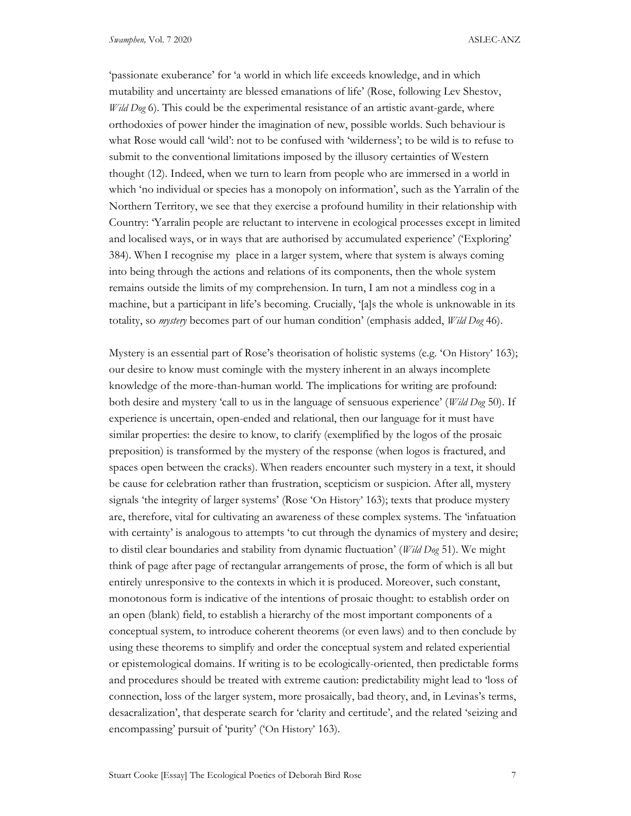'passionate exuberance' for 'a world in which life exceeds knowledge, and in which mutability and uncertainty are blessed emanations of life' (Rose, following Lev Shestov, *Wild Dog* 6). This could be the experimental resistance of an artistic avant-garde, where orthodoxies of power hinder the imagination of new, possible worlds. Such behaviour is what Rose would call 'wild': not to be confused with 'wilderness'; to be wild is to refuse to submit to the conventional limitations imposed by the illusory certainties of Western thought (12). Indeed, when we turn to learn from people who are immersed in a world in which 'no individual or species has a monopoly on information', such as the Yarralin of the Northern Territory, we see that they exercise a profound humility in their relationship with Country: 'Yarralin people are reluctant to intervene in ecological processes except in limited and localised ways, or in ways that are authorised by accumulated experience' ('Exploring' 384). When I recognise my place in a larger system, where that system is always coming into being through the actions and relations of its components, then the whole system remains outside the limits of my comprehension. In turn, I am not a mindless cog in a machine, but a participant in life's becoming. Crucially, '[a]s the whole is unknowable in its totality, so *mystery* becomes part of our human condition' (emphasis added, *Wild Dog* 46).

Mystery is an essential part of Rose's theorisation of holistic systems (e.g. 'On History' 163); our desire to know must comingle with the mystery inherent in an always incomplete knowledge of the more-than-human world. The implications for writing are profound: both desire and mystery 'call to us in the language of sensuous experience' (Wild Dog 50). If experience is uncertain, open-ended and relational, then our language for it must have similar properties: the desire to know, to clarify (exemplified by the logos of the prosaic preposition) is transformed by the mystery of the response (when logos is fractured, and spaces open between the cracks). When readers encounter such mystery in a text, it should be cause for celebration rather than frustration, scepticism or suspicion. After all, mystery signals 'the integrity of larger systems' (Rose 'On History' 163); texts that produce mystery are, therefore, vital for cultivating an awareness of these complex systems. The 'infatuation with certainty' is analogous to attempts 'to cut through the dynamics of mystery and desire; to distil clear boundaries and stability from dynamic fluctuation' (Wild Dog 51). We might think of page after page of rectangular arrangements of prose, the form of which is all but entirely unresponsive to the contexts in which it is produced. Moreover, such constant, monotonous form is indicative of the intentions of prosaic thought: to establish order on an open (blank) field, to establish a hierarchy of the most important components of a conceptual system, to introduce coherent theorems (or even laws) and to then conclude by using these theorems to simplify and order the conceptual system and related experiential or epistemological domains. If writing is to be ecologically-oriented, then predictable forms and procedures should be treated with extreme caution: predictability might lead to 'loss of connection, loss of the larger system, more prosaically, bad theory, and, in Levinas's terms, desacralization', that desperate search for 'clarity and certitude', and the related 'seizing and encompassing' pursuit of 'purity' ('On History' 163).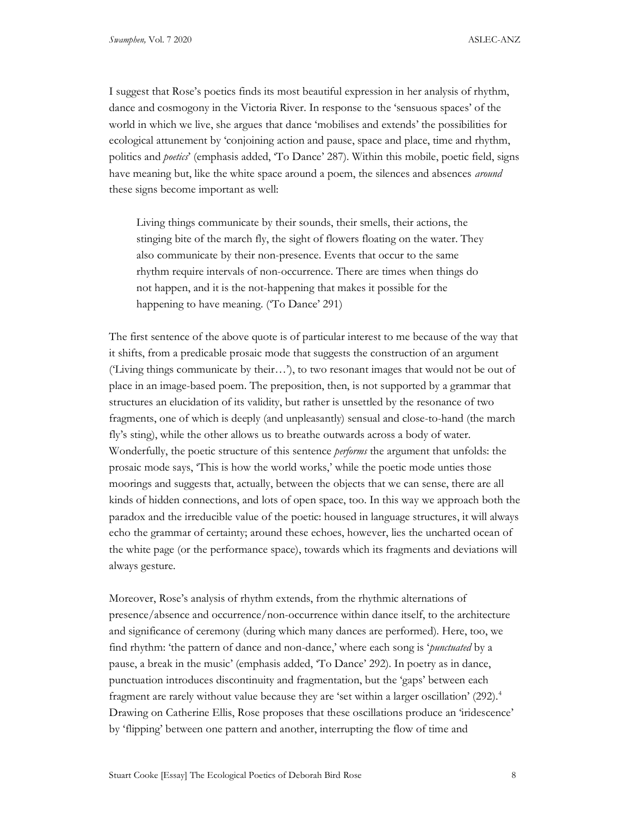I suggest that Rose's poetics finds its most beautiful expression in her analysis of rhythm, dance and cosmogony in the Victoria River. In response to the 'sensuous spaces' of the world in which we live, she argues that dance 'mobilises and extends' the possibilities for ecological attunement by 'conjoining action and pause, space and place, time and rhythm, politics and *poetics*' (emphasis added, 'To Dance' 287). Within this mobile, poetic field, signs have meaning but, like the white space around a poem, the silences and absences *around* these signs become important as well:

Living things communicate by their sounds, their smells, their actions, the stinging bite of the march fly, the sight of flowers floating on the water. They also communicate by their non-presence. Events that occur to the same rhythm require intervals of non-occurrence. There are times when things do not happen, and it is the not-happening that makes it possible for the happening to have meaning. ('To Dance' 291)

The first sentence of the above quote is of particular interest to me because of the way that it shifts, from a predicable prosaic mode that suggests the construction of an argument ('Living things communicate by their…'), to two resonant images that would not be out of place in an image-based poem. The preposition, then, is not supported by a grammar that structures an elucidation of its validity, but rather is unsettled by the resonance of two fragments, one of which is deeply (and unpleasantly) sensual and close-to-hand (the march fly's sting), while the other allows us to breathe outwards across a body of water. Wonderfully, the poetic structure of this sentence *performs* the argument that unfolds: the prosaic mode says, 'This is how the world works,' while the poetic mode unties those moorings and suggests that, actually, between the objects that we can sense, there are all kinds of hidden connections, and lots of open space, too. In this way we approach both the paradox and the irreducible value of the poetic: housed in language structures, it will always echo the grammar of certainty; around these echoes, however, lies the uncharted ocean of the white page (or the performance space), towards which its fragments and deviations will always gesture.

Moreover, Rose's analysis of rhythm extends, from the rhythmic alternations of presence/absence and occurrence/non-occurrence within dance itself, to the architecture and significance of ceremony (during which many dances are performed). Here, too, we find rhythm: 'the pattern of dance and non-dance,' where each song is '*punctuated* by a pause, a break in the music' (emphasis added, 'To Dance' 292). In poetry as in dance, punctuation introduces discontinuity and fragmentation, but the 'gaps' between each fragment are rarely without value because they are 'set within a larger oscillation' (292).<sup>4</sup> Drawing on Catherine Ellis, Rose proposes that these oscillations produce an 'iridescence' by 'flipping' between one pattern and another, interrupting the flow of time and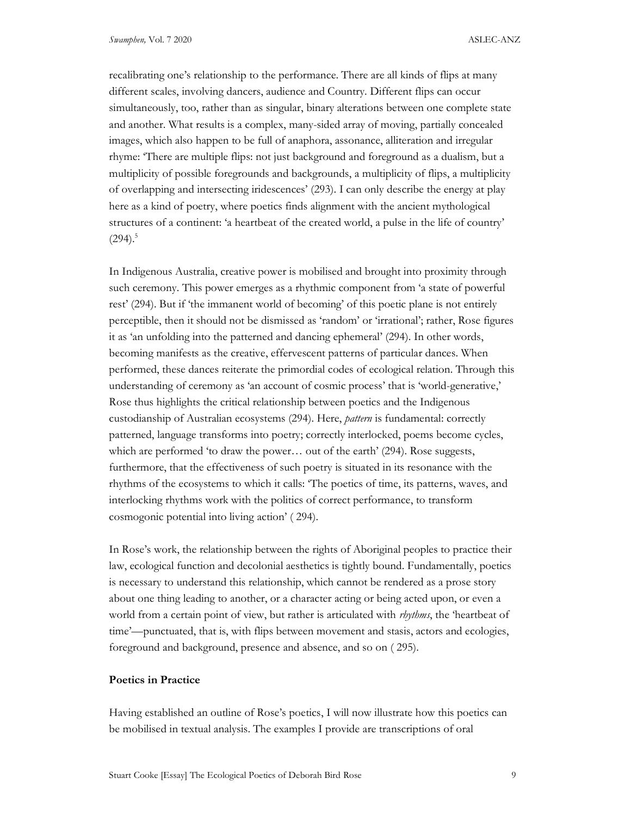recalibrating one's relationship to the performance. There are all kinds of flips at many different scales, involving dancers, audience and Country. Different flips can occur simultaneously, too, rather than as singular, binary alterations between one complete state and another. What results is a complex, many-sided array of moving, partially concealed images, which also happen to be full of anaphora, assonance, alliteration and irregular rhyme: 'There are multiple flips: not just background and foreground as a dualism, but a multiplicity of possible foregrounds and backgrounds, a multiplicity of flips, a multiplicity of overlapping and intersecting iridescences' (293). I can only describe the energy at play here as a kind of poetry, where poetics finds alignment with the ancient mythological structures of a continent: 'a heartbeat of the created world, a pulse in the life of country'  $(294).$ <sup>5</sup>

In Indigenous Australia, creative power is mobilised and brought into proximity through such ceremony. This power emerges as a rhythmic component from 'a state of powerful rest' (294). But if 'the immanent world of becoming' of this poetic plane is not entirely perceptible, then it should not be dismissed as 'random' or 'irrational'; rather, Rose figures it as 'an unfolding into the patterned and dancing ephemeral' (294). In other words, becoming manifests as the creative, effervescent patterns of particular dances. When performed, these dances reiterate the primordial codes of ecological relation. Through this understanding of ceremony as 'an account of cosmic process' that is 'world-generative,' Rose thus highlights the critical relationship between poetics and the Indigenous custodianship of Australian ecosystems (294). Here, pattern is fundamental: correctly patterned, language transforms into poetry; correctly interlocked, poems become cycles, which are performed 'to draw the power… out of the earth' (294). Rose suggests, furthermore, that the effectiveness of such poetry is situated in its resonance with the rhythms of the ecosystems to which it calls: 'The poetics of time, its patterns, waves, and interlocking rhythms work with the politics of correct performance, to transform cosmogonic potential into living action' ( 294).

In Rose's work, the relationship between the rights of Aboriginal peoples to practice their law, ecological function and decolonial aesthetics is tightly bound. Fundamentally, poetics is necessary to understand this relationship, which cannot be rendered as a prose story about one thing leading to another, or a character acting or being acted upon, or even a world from a certain point of view, but rather is articulated with *rhythms*, the 'heartbeat of time'—punctuated, that is, with flips between movement and stasis, actors and ecologies, foreground and background, presence and absence, and so on ( 295).

## Poetics in Practice

Having established an outline of Rose's poetics, I will now illustrate how this poetics can be mobilised in textual analysis. The examples I provide are transcriptions of oral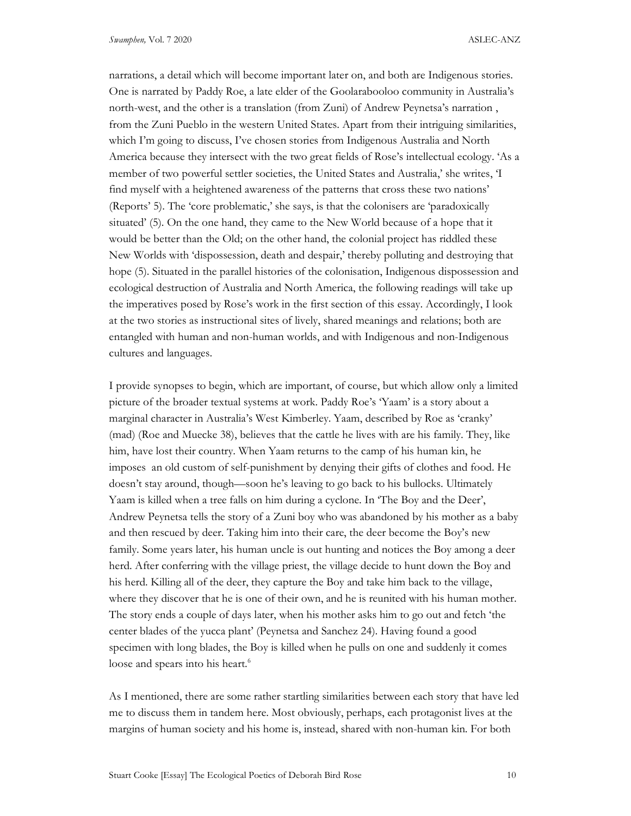narrations, a detail which will become important later on, and both are Indigenous stories. One is narrated by Paddy Roe, a late elder of the Goolarabooloo community in Australia's north-west, and the other is a translation (from Zuni) of Andrew Peynetsa's narration , from the Zuni Pueblo in the western United States. Apart from their intriguing similarities, which I'm going to discuss, I've chosen stories from Indigenous Australia and North America because they intersect with the two great fields of Rose's intellectual ecology. 'As a member of two powerful settler societies, the United States and Australia,' she writes, 'I find myself with a heightened awareness of the patterns that cross these two nations' (Reports' 5). The 'core problematic,' she says, is that the colonisers are 'paradoxically situated' (5). On the one hand, they came to the New World because of a hope that it would be better than the Old; on the other hand, the colonial project has riddled these New Worlds with 'dispossession, death and despair,' thereby polluting and destroying that hope (5). Situated in the parallel histories of the colonisation, Indigenous dispossession and ecological destruction of Australia and North America, the following readings will take up the imperatives posed by Rose's work in the first section of this essay. Accordingly, I look at the two stories as instructional sites of lively, shared meanings and relations; both are entangled with human and non-human worlds, and with Indigenous and non-Indigenous cultures and languages.

I provide synopses to begin, which are important, of course, but which allow only a limited picture of the broader textual systems at work. Paddy Roe's 'Yaam' is a story about a marginal character in Australia's West Kimberley. Yaam, described by Roe as 'cranky' (mad) (Roe and Muecke 38), believes that the cattle he lives with are his family. They, like him, have lost their country. When Yaam returns to the camp of his human kin, he imposes an old custom of self-punishment by denying their gifts of clothes and food. He doesn't stay around, though—soon he's leaving to go back to his bullocks. Ultimately Yaam is killed when a tree falls on him during a cyclone. In 'The Boy and the Deer', Andrew Peynetsa tells the story of a Zuni boy who was abandoned by his mother as a baby and then rescued by deer. Taking him into their care, the deer become the Boy's new family. Some years later, his human uncle is out hunting and notices the Boy among a deer herd. After conferring with the village priest, the village decide to hunt down the Boy and his herd. Killing all of the deer, they capture the Boy and take him back to the village, where they discover that he is one of their own, and he is reunited with his human mother. The story ends a couple of days later, when his mother asks him to go out and fetch 'the center blades of the yucca plant' (Peynetsa and Sanchez 24). Having found a good specimen with long blades, the Boy is killed when he pulls on one and suddenly it comes loose and spears into his heart.<sup>6</sup>

As I mentioned, there are some rather startling similarities between each story that have led me to discuss them in tandem here. Most obviously, perhaps, each protagonist lives at the margins of human society and his home is, instead, shared with non-human kin. For both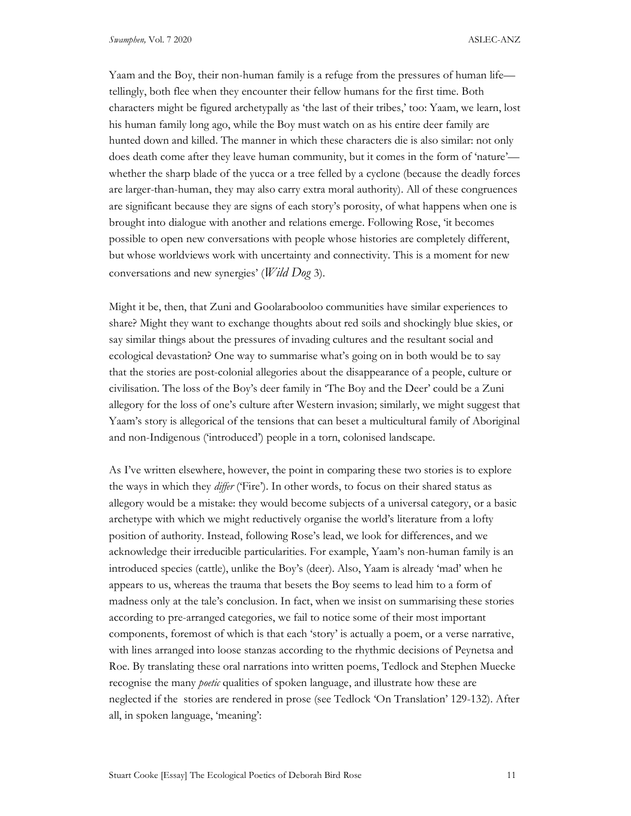Yaam and the Boy, their non-human family is a refuge from the pressures of human life tellingly, both flee when they encounter their fellow humans for the first time. Both characters might be figured archetypally as 'the last of their tribes,' too: Yaam, we learn, lost his human family long ago, while the Boy must watch on as his entire deer family are hunted down and killed. The manner in which these characters die is also similar: not only does death come after they leave human community, but it comes in the form of 'nature' whether the sharp blade of the yucca or a tree felled by a cyclone (because the deadly forces are larger-than-human, they may also carry extra moral authority). All of these congruences are significant because they are signs of each story's porosity, of what happens when one is brought into dialogue with another and relations emerge. Following Rose, 'it becomes possible to open new conversations with people whose histories are completely different, but whose worldviews work with uncertainty and connectivity. This is a moment for new conversations and new synergies' (*Wild Dog* 3).

Might it be, then, that Zuni and Goolarabooloo communities have similar experiences to share? Might they want to exchange thoughts about red soils and shockingly blue skies, or say similar things about the pressures of invading cultures and the resultant social and ecological devastation? One way to summarise what's going on in both would be to say that the stories are post-colonial allegories about the disappearance of a people, culture or civilisation. The loss of the Boy's deer family in 'The Boy and the Deer' could be a Zuni allegory for the loss of one's culture after Western invasion; similarly, we might suggest that Yaam's story is allegorical of the tensions that can beset a multicultural family of Aboriginal and non-Indigenous ('introduced') people in a torn, colonised landscape.

As I've written elsewhere, however, the point in comparing these two stories is to explore the ways in which they differ ('Fire'). In other words, to focus on their shared status as allegory would be a mistake: they would become subjects of a universal category, or a basic archetype with which we might reductively organise the world's literature from a lofty position of authority. Instead, following Rose's lead, we look for differences, and we acknowledge their irreducible particularities. For example, Yaam's non-human family is an introduced species (cattle), unlike the Boy's (deer). Also, Yaam is already 'mad' when he appears to us, whereas the trauma that besets the Boy seems to lead him to a form of madness only at the tale's conclusion. In fact, when we insist on summarising these stories according to pre-arranged categories, we fail to notice some of their most important components, foremost of which is that each 'story' is actually a poem, or a verse narrative, with lines arranged into loose stanzas according to the rhythmic decisions of Peynetsa and Roe. By translating these oral narrations into written poems, Tedlock and Stephen Muecke recognise the many *poetic* qualities of spoken language, and illustrate how these are neglected if the stories are rendered in prose (see Tedlock 'On Translation' 129-132). After all, in spoken language, 'meaning':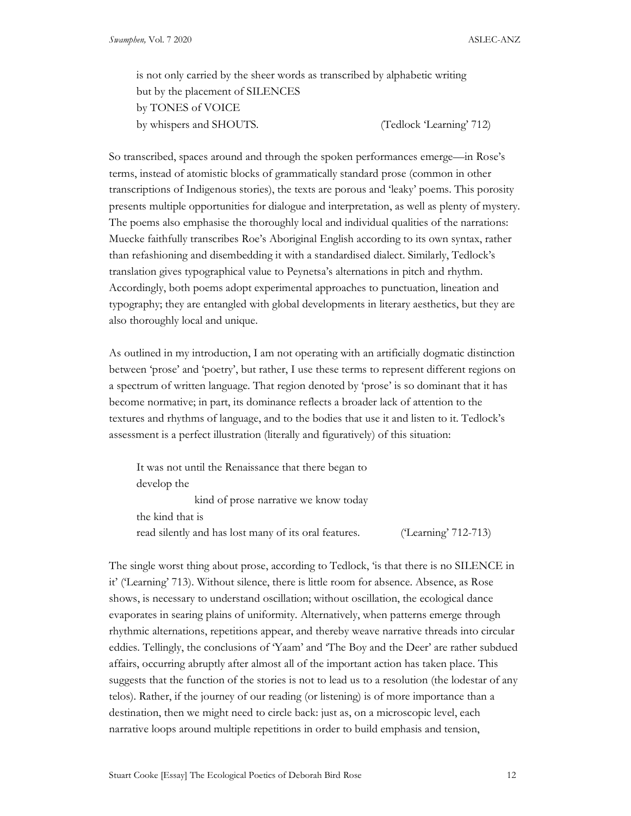is not only carried by the sheer words as transcribed by alphabetic writing but by the placement of SILENCES by TONES of VOICE by whispers and SHOUTS. (Tedlock 'Learning' 712)

So transcribed, spaces around and through the spoken performances emerge—in Rose's terms, instead of atomistic blocks of grammatically standard prose (common in other transcriptions of Indigenous stories), the texts are porous and 'leaky' poems. This porosity presents multiple opportunities for dialogue and interpretation, as well as plenty of mystery. The poems also emphasise the thoroughly local and individual qualities of the narrations: Muecke faithfully transcribes Roe's Aboriginal English according to its own syntax, rather than refashioning and disembedding it with a standardised dialect. Similarly, Tedlock's translation gives typographical value to Peynetsa's alternations in pitch and rhythm. Accordingly, both poems adopt experimental approaches to punctuation, lineation and typography; they are entangled with global developments in literary aesthetics, but they are also thoroughly local and unique.

As outlined in my introduction, I am not operating with an artificially dogmatic distinction between 'prose' and 'poetry', but rather, I use these terms to represent different regions on a spectrum of written language. That region denoted by 'prose' is so dominant that it has become normative; in part, its dominance reflects a broader lack of attention to the textures and rhythms of language, and to the bodies that use it and listen to it. Tedlock's assessment is a perfect illustration (literally and figuratively) of this situation:

It was not until the Renaissance that there began to develop the kind of prose narrative we know today the kind that is read silently and has lost many of its oral features. ('Learning' 712-713)

The single worst thing about prose, according to Tedlock, 'is that there is no SILENCE in it' ('Learning' 713). Without silence, there is little room for absence. Absence, as Rose shows, is necessary to understand oscillation; without oscillation, the ecological dance evaporates in searing plains of uniformity. Alternatively, when patterns emerge through rhythmic alternations, repetitions appear, and thereby weave narrative threads into circular eddies. Tellingly, the conclusions of 'Yaam' and 'The Boy and the Deer' are rather subdued affairs, occurring abruptly after almost all of the important action has taken place. This suggests that the function of the stories is not to lead us to a resolution (the lodestar of any telos). Rather, if the journey of our reading (or listening) is of more importance than a destination, then we might need to circle back: just as, on a microscopic level, each narrative loops around multiple repetitions in order to build emphasis and tension,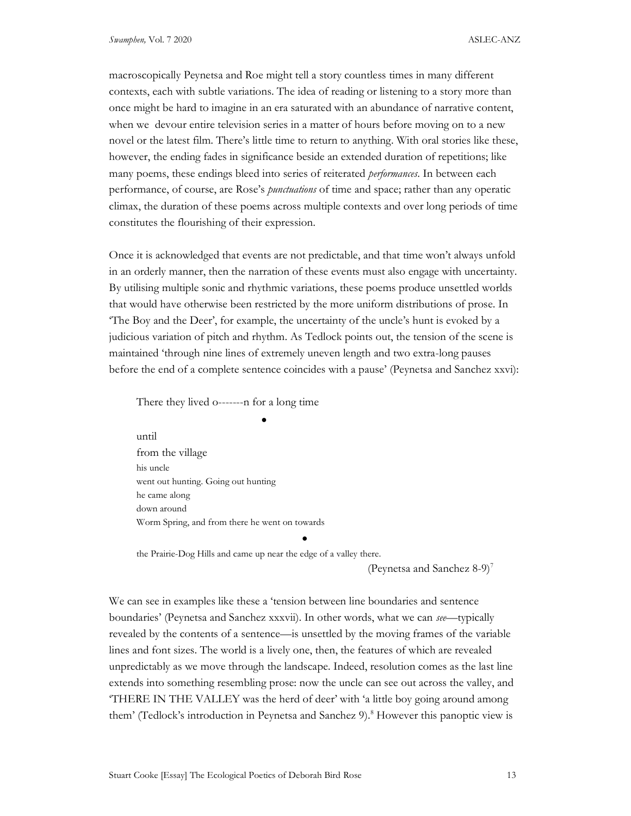macroscopically Peynetsa and Roe might tell a story countless times in many different contexts, each with subtle variations. The idea of reading or listening to a story more than once might be hard to imagine in an era saturated with an abundance of narrative content, when we devour entire television series in a matter of hours before moving on to a new novel or the latest film. There's little time to return to anything. With oral stories like these, however, the ending fades in significance beside an extended duration of repetitions; like many poems, these endings bleed into series of reiterated *performances*. In between each performance, of course, are Rose's *punctuations* of time and space; rather than any operatic climax, the duration of these poems across multiple contexts and over long periods of time constitutes the flourishing of their expression.

Once it is acknowledged that events are not predictable, and that time won't always unfold in an orderly manner, then the narration of these events must also engage with uncertainty. By utilising multiple sonic and rhythmic variations, these poems produce unsettled worlds that would have otherwise been restricted by the more uniform distributions of prose. In 'The Boy and the Deer', for example, the uncertainty of the uncle's hunt is evoked by a judicious variation of pitch and rhythm. As Tedlock points out, the tension of the scene is maintained 'through nine lines of extremely uneven length and two extra-long pauses before the end of a complete sentence coincides with a pause' (Peynetsa and Sanchez xxvi):

There they lived o-------n for a long time

<u>and the state of the state of the state of the state of the state of the state of the state of the state of the state of the state of the state of the state of the state of the state of the state of the state of the state</u>

until from the village his uncle went out hunting. Going out hunting he came along down around Worm Spring, and from there he went on towards

the Prairie-Dog Hills and came up near the edge of a valley there.

(Peynetsa and Sanchez 8-9)<sup>7</sup>

We can see in examples like these a 'tension between line boundaries and sentence boundaries' (Peynetsa and Sanchez xxxvii). In other words, what we can see—typically revealed by the contents of a sentence—is unsettled by the moving frames of the variable lines and font sizes. The world is a lively one, then, the features of which are revealed unpredictably as we move through the landscape. Indeed, resolution comes as the last line extends into something resembling prose: now the uncle can see out across the valley, and 'THERE IN THE VALLEY was the herd of deer' with 'a little boy going around among them' (Tedlock's introduction in Peynetsa and Sanchez 9).<sup>8</sup> However this panoptic view is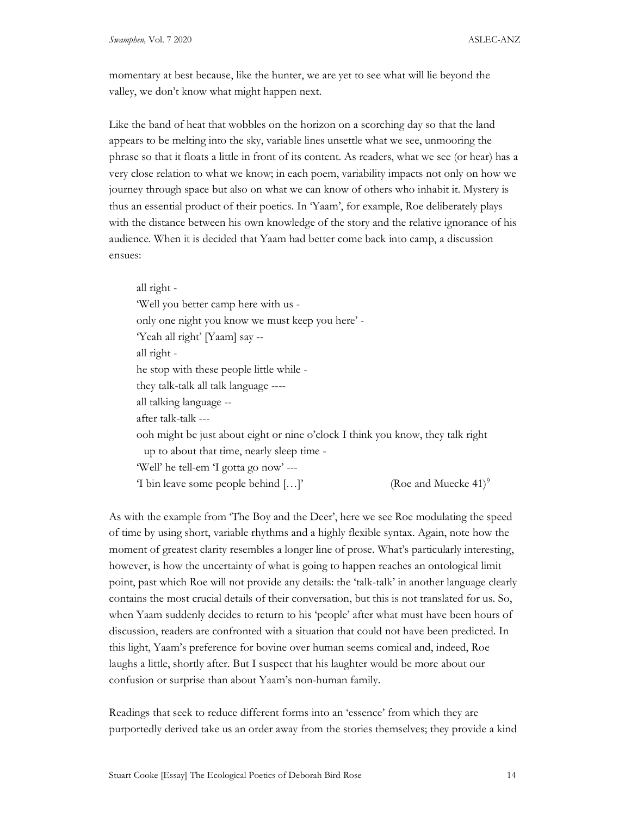momentary at best because, like the hunter, we are yet to see what will lie beyond the valley, we don't know what might happen next.

Like the band of heat that wobbles on the horizon on a scorching day so that the land appears to be melting into the sky, variable lines unsettle what we see, unmooring the phrase so that it floats a little in front of its content. As readers, what we see (or hear) has a very close relation to what we know; in each poem, variability impacts not only on how we journey through space but also on what we can know of others who inhabit it. Mystery is thus an essential product of their poetics. In 'Yaam', for example, Roe deliberately plays with the distance between his own knowledge of the story and the relative ignorance of his audience. When it is decided that Yaam had better come back into camp, a discussion ensues:

all right - 'Well you better camp here with us only one night you know we must keep you here' - 'Yeah all right' [Yaam] say - all right he stop with these people little while they talk-talk all talk language --- all talking language - after talk-talk -- ooh might be just about eight or nine o'clock I think you know, they talk right up to about that time, nearly sleep time - 'Well' he tell-em 'I gotta go now' --- 'I bin leave some people behind  $[...]'$ (Roe and Muecke  $41$ )<sup>9</sup>

As with the example from 'The Boy and the Deer', here we see Roe modulating the speed of time by using short, variable rhythms and a highly flexible syntax. Again, note how the moment of greatest clarity resembles a longer line of prose. What's particularly interesting, however, is how the uncertainty of what is going to happen reaches an ontological limit point, past which Roe will not provide any details: the 'talk-talk' in another language clearly contains the most crucial details of their conversation, but this is not translated for us. So, when Yaam suddenly decides to return to his 'people' after what must have been hours of discussion, readers are confronted with a situation that could not have been predicted. In this light, Yaam's preference for bovine over human seems comical and, indeed, Roe laughs a little, shortly after. But I suspect that his laughter would be more about our confusion or surprise than about Yaam's non-human family.

Readings that seek to reduce different forms into an 'essence' from which they are purportedly derived take us an order away from the stories themselves; they provide a kind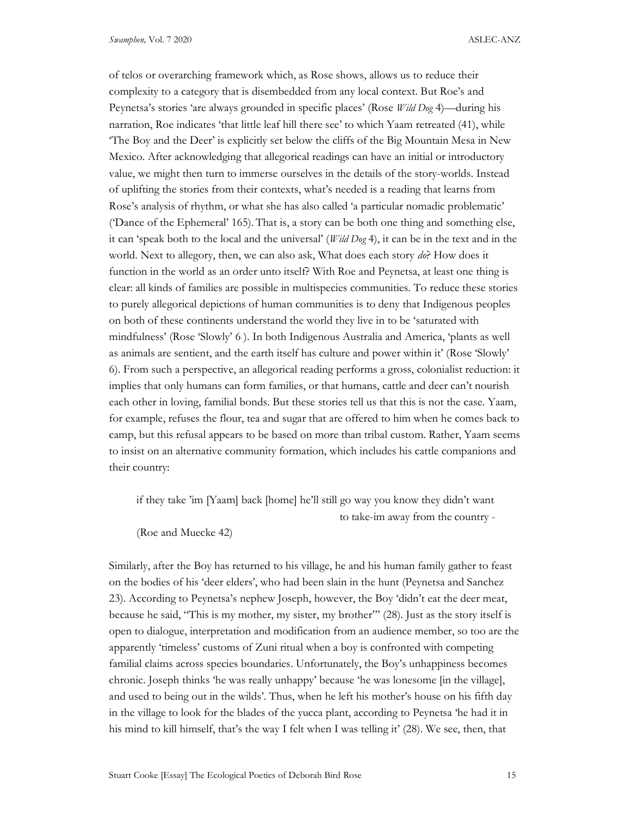of telos or overarching framework which, as Rose shows, allows us to reduce their complexity to a category that is disembedded from any local context. But Roe's and Peynetsa's stories 'are always grounded in specific places' (Rose Wild Dog 4)—during his narration, Roe indicates 'that little leaf hill there see' to which Yaam retreated (41), while 'The Boy and the Deer' is explicitly set below the cliffs of the Big Mountain Mesa in New Mexico. After acknowledging that allegorical readings can have an initial or introductory value, we might then turn to immerse ourselves in the details of the story-worlds. Instead of uplifting the stories from their contexts, what's needed is a reading that learns from Rose's analysis of rhythm, or what she has also called 'a particular nomadic problematic' ('Dance of the Ephemeral' 165). That is, a story can be both one thing and something else, it can 'speak both to the local and the universal' (Wild Dog 4), it can be in the text and in the world. Next to allegory, then, we can also ask, What does each story do? How does it function in the world as an order unto itself? With Roe and Peynetsa, at least one thing is clear: all kinds of families are possible in multispecies communities. To reduce these stories to purely allegorical depictions of human communities is to deny that Indigenous peoples on both of these continents understand the world they live in to be 'saturated with mindfulness' (Rose 'Slowly' 6 ). In both Indigenous Australia and America, 'plants as well as animals are sentient, and the earth itself has culture and power within it' (Rose 'Slowly' 6). From such a perspective, an allegorical reading performs a gross, colonialist reduction: it implies that only humans can form families, or that humans, cattle and deer can't nourish each other in loving, familial bonds. But these stories tell us that this is not the case. Yaam, for example, refuses the flour, tea and sugar that are offered to him when he comes back to camp, but this refusal appears to be based on more than tribal custom. Rather, Yaam seems to insist on an alternative community formation, which includes his cattle companions and their country:

if they take 'im [Yaam] back [home] he'll still go way you know they didn't want to take-im away from the country -

(Roe and Muecke 42)

Similarly, after the Boy has returned to his village, he and his human family gather to feast on the bodies of his 'deer elders', who had been slain in the hunt (Peynetsa and Sanchez 23). According to Peynetsa's nephew Joseph, however, the Boy 'didn't eat the deer meat, because he said, "This is my mother, my sister, my brother"' (28). Just as the story itself is open to dialogue, interpretation and modification from an audience member, so too are the apparently 'timeless' customs of Zuni ritual when a boy is confronted with competing familial claims across species boundaries. Unfortunately, the Boy's unhappiness becomes chronic. Joseph thinks 'he was really unhappy' because 'he was lonesome [in the village], and used to being out in the wilds'. Thus, when he left his mother's house on his fifth day in the village to look for the blades of the yucca plant, according to Peynetsa 'he had it in his mind to kill himself, that's the way I felt when I was telling it' (28). We see, then, that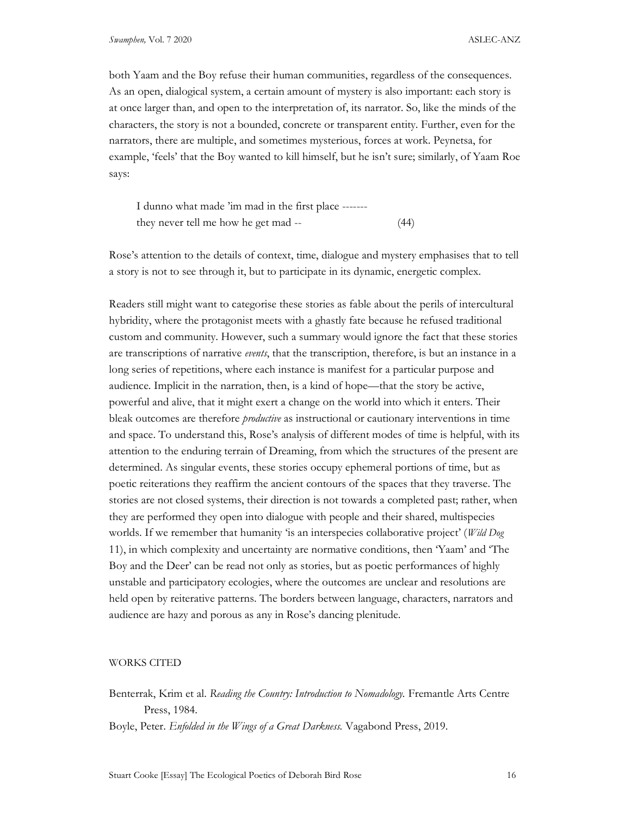both Yaam and the Boy refuse their human communities, regardless of the consequences. As an open, dialogical system, a certain amount of mystery is also important: each story is at once larger than, and open to the interpretation of, its narrator. So, like the minds of the characters, the story is not a bounded, concrete or transparent entity. Further, even for the narrators, there are multiple, and sometimes mysterious, forces at work. Peynetsa, for example, 'feels' that the Boy wanted to kill himself, but he isn't sure; similarly, of Yaam Roe says:

I dunno what made 'im mad in the first place ------ they never tell me how he get mad -- (44)

Rose's attention to the details of context, time, dialogue and mystery emphasises that to tell a story is not to see through it, but to participate in its dynamic, energetic complex.

Readers still might want to categorise these stories as fable about the perils of intercultural hybridity, where the protagonist meets with a ghastly fate because he refused traditional custom and community. However, such a summary would ignore the fact that these stories are transcriptions of narrative *events*, that the transcription, therefore, is but an instance in a long series of repetitions, where each instance is manifest for a particular purpose and audience. Implicit in the narration, then, is a kind of hope—that the story be active, powerful and alive, that it might exert a change on the world into which it enters. Their bleak outcomes are therefore *productive* as instructional or cautionary interventions in time and space. To understand this, Rose's analysis of different modes of time is helpful, with its attention to the enduring terrain of Dreaming, from which the structures of the present are determined. As singular events, these stories occupy ephemeral portions of time, but as poetic reiterations they reaffirm the ancient contours of the spaces that they traverse. The stories are not closed systems, their direction is not towards a completed past; rather, when they are performed they open into dialogue with people and their shared, multispecies worlds. If we remember that humanity 'is an interspecies collaborative project' (Wild Dog 11), in which complexity and uncertainty are normative conditions, then 'Yaam' and 'The Boy and the Deer' can be read not only as stories, but as poetic performances of highly unstable and participatory ecologies, where the outcomes are unclear and resolutions are held open by reiterative patterns. The borders between language, characters, narrators and audience are hazy and porous as any in Rose's dancing plenitude.

#### WORKS CITED

Benterrak, Krim et al. Reading the Country: Introduction to Nomadology. Fremantle Arts Centre Press, 1984.

Boyle, Peter. Enfolded in the Wings of a Great Darkness. Vagabond Press, 2019.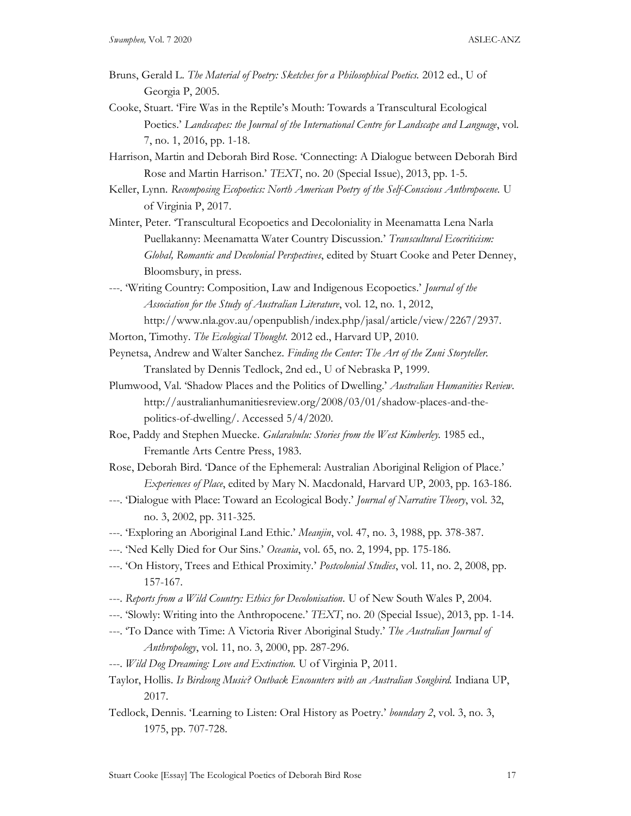- Bruns, Gerald L. The Material of Poetry: Sketches for a Philosophical Poetics. 2012 ed., U of Georgia P, 2005.
- Cooke, Stuart. 'Fire Was in the Reptile's Mouth: Towards a Transcultural Ecological Poetics.' Landscapes: the Journal of the International Centre for Landscape and Language, vol. 7, no. 1, 2016, pp. 1-18.
- Harrison, Martin and Deborah Bird Rose. 'Connecting: A Dialogue between Deborah Bird Rose and Martin Harrison.' TEXT, no. 20 (Special Issue), 2013, pp. 1-5.
- Keller, Lynn. Recomposing Ecopoetics: North American Poetry of the Self-Conscious Anthropocene. U of Virginia P, 2017.
- Minter, Peter. 'Transcultural Ecopoetics and Decoloniality in Meenamatta Lena Narla Puellakanny: Meenamatta Water Country Discussion.' Transcultural Ecocriticism: Global, Romantic and Decolonial Perspectives, edited by Stuart Cooke and Peter Denney, Bloomsbury, in press.
- ---. 'Writing Country: Composition, Law and Indigenous Ecopoetics.' Journal of the Association for the Study of Australian Literature, vol. 12, no. 1, 2012, http://www.nla.gov.au/openpublish/index.php/jasal/article/view/2267/2937.
- Morton, Timothy. The Ecological Thought. 2012 ed., Harvard UP, 2010.
- Peynetsa, Andrew and Walter Sanchez. Finding the Center: The Art of the Zuni Storyteller. Translated by Dennis Tedlock, 2nd ed., U of Nebraska P, 1999.
- Plumwood, Val. 'Shadow Places and the Politics of Dwelling.' Australian Humanities Review. http://australianhumanitiesreview.org/2008/03/01/shadow-places-and-thepolitics-of-dwelling/. Accessed 5/4/2020.
- Roe, Paddy and Stephen Muecke. Gularabulu: Stories from the West Kimberley. 1985 ed., Fremantle Arts Centre Press, 1983.
- Rose, Deborah Bird. 'Dance of the Ephemeral: Australian Aboriginal Religion of Place.' Experiences of Place, edited by Mary N. Macdonald, Harvard UP, 2003, pp. 163-186.
- ---. 'Dialogue with Place: Toward an Ecological Body.' *Journal of Narrative Theory*, vol. 32, no. 3, 2002, pp. 311-325.
- ---. 'Exploring an Aboriginal Land Ethic.' Meanjin, vol. 47, no. 3, 1988, pp. 378-387.
- ---. 'Ned Kelly Died for Our Sins.' Oceania, vol. 65, no. 2, 1994, pp. 175-186.
- ---. 'On History, Trees and Ethical Proximity.' Postcolonial Studies, vol. 11, no. 2, 2008, pp. 157-167.
- ---. Reports from a Wild Country: Ethics for Decolonisation. U of New South Wales P, 2004.
- ---. 'Slowly: Writing into the Anthropocene.' TEXT, no. 20 (Special Issue), 2013, pp. 1-14.
- ---. 'To Dance with Time: A Victoria River Aboriginal Study.' The Australian Journal of Anthropology, vol. 11, no. 3, 2000, pp. 287-296.
- ---. Wild Dog Dreaming: Love and Extinction. U of Virginia P, 2011.
- Taylor, Hollis. Is Birdsong Music? Outback Encounters with an Australian Songbird. Indiana UP, 2017.
- Tedlock, Dennis. 'Learning to Listen: Oral History as Poetry.' boundary 2, vol. 3, no. 3, 1975, pp. 707-728.